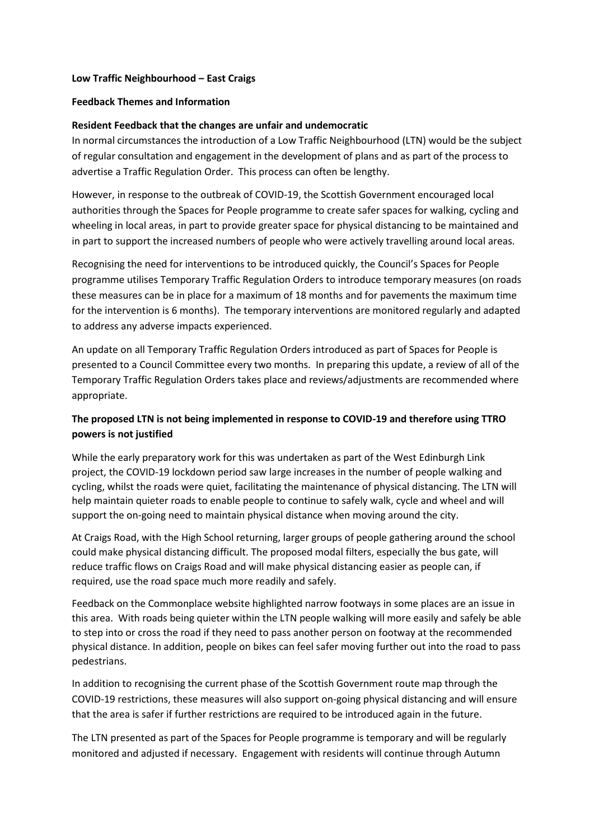#### **Low Traffic Neighbourhood – East Craigs**

#### **Feedback Themes and Information**

### **Resident Feedback that the changes are unfair and undemocratic**

In normal circumstances the introduction of a Low Traffic Neighbourhood (LTN) would be the subject of regular consultation and engagement in the development of plans and as part of the process to advertise a Traffic Regulation Order. This process can often be lengthy.

However, in response to the outbreak of COVID-19, the Scottish Government encouraged local authorities through the Spaces for People programme to create safer spaces for walking, cycling and wheeling in local areas, in part to provide greater space for physical distancing to be maintained and in part to support the increased numbers of people who were actively travelling around local areas.

Recognising the need for interventions to be introduced quickly, the Council's Spaces for People programme utilises Temporary Traffic Regulation Orders to introduce temporary measures (on roads these measures can be in place for a maximum of 18 months and for pavements the maximum time for the intervention is 6 months). The temporary interventions are monitored regularly and adapted to address any adverse impacts experienced.

An update on all Temporary Traffic Regulation Orders introduced as part of Spaces for People is presented to a Council Committee every two months. In preparing this update, a review of all of the Temporary Traffic Regulation Orders takes place and reviews/adjustments are recommended where appropriate.

# **The proposed LTN is not being implemented in response to COVID-19 and therefore using TTRO powers is not justified**

While the early preparatory work for this was undertaken as part of the West Edinburgh Link project, the COVID-19 lockdown period saw large increases in the number of people walking and cycling, whilst the roads were quiet, facilitating the maintenance of physical distancing. The LTN will help maintain quieter roads to enable people to continue to safely walk, cycle and wheel and will support the on-going need to maintain physical distance when moving around the city.

At Craigs Road, with the High School returning, larger groups of people gathering around the school could make physical distancing difficult. The proposed modal filters, especially the bus gate, will reduce traffic flows on Craigs Road and will make physical distancing easier as people can, if required, use the road space much more readily and safely.

Feedback on the Commonplace website highlighted narrow footways in some places are an issue in this area. With roads being quieter within the LTN people walking will more easily and safely be able to step into or cross the road if they need to pass another person on footway at the recommended physical distance. In addition, people on bikes can feel safer moving further out into the road to pass pedestrians.

In addition to recognising the current phase of the Scottish Government route map through the COVID-19 restrictions, these measures will also support on-going physical distancing and will ensure that the area is safer if further restrictions are required to be introduced again in the future.

The LTN presented as part of the Spaces for People programme is temporary and will be regularly monitored and adjusted if necessary. Engagement with residents will continue through Autumn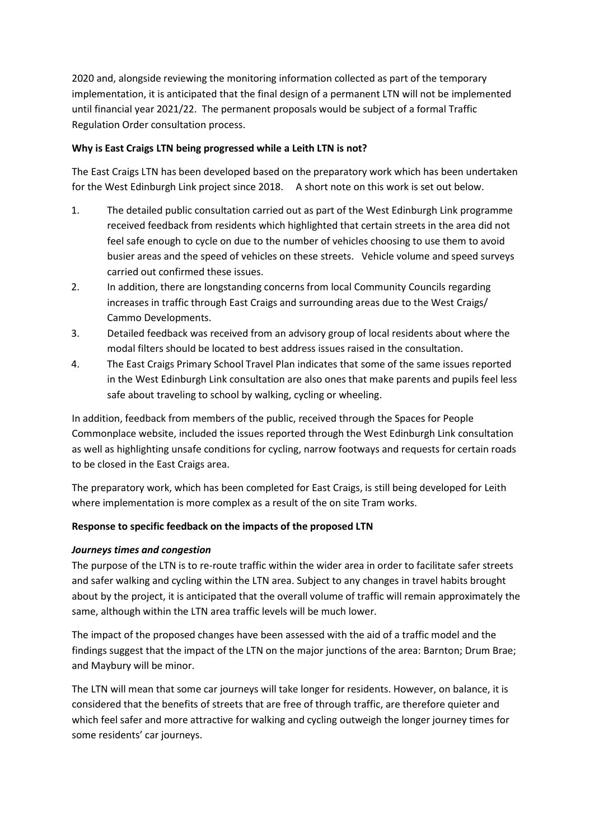2020 and, alongside reviewing the monitoring information collected as part of the temporary implementation, it is anticipated that the final design of a permanent LTN will not be implemented until financial year 2021/22. The permanent proposals would be subject of a formal Traffic Regulation Order consultation process.

# **Why is East Craigs LTN being progressed while a Leith LTN is not?**

The East Craigs LTN has been developed based on the preparatory work which has been undertaken for the West Edinburgh Link project since 2018. A short note on this work is set out below.

- 1. The detailed public consultation carried out as part of the West Edinburgh Link programme received feedback from residents which highlighted that certain streets in the area did not feel safe enough to cycle on due to the number of vehicles choosing to use them to avoid busier areas and the speed of vehicles on these streets. Vehicle volume and speed surveys carried out confirmed these issues.
- 2. In addition, there are longstanding concerns from local Community Councils regarding increases in traffic through East Craigs and surrounding areas due to the West Craigs/ Cammo Developments.
- 3. Detailed feedback was received from an advisory group of local residents about where the modal filters should be located to best address issues raised in the consultation.
- 4. The East Craigs Primary School Travel Plan indicates that some of the same issues reported in the West Edinburgh Link consultation are also ones that make parents and pupils feel less safe about traveling to school by walking, cycling or wheeling.

In addition, feedback from members of the public, received through the Spaces for People Commonplace website, included the issues reported through the West Edinburgh Link consultation as well as highlighting unsafe conditions for cycling, narrow footways and requests for certain roads to be closed in the East Craigs area.

The preparatory work, which has been completed for East Craigs, is still being developed for Leith where implementation is more complex as a result of the on site Tram works.

# **Response to specific feedback on the impacts of the proposed LTN**

# *Journeys times and congestion*

The purpose of the LTN is to re-route traffic within the wider area in order to facilitate safer streets and safer walking and cycling within the LTN area. Subject to any changes in travel habits brought about by the project, it is anticipated that the overall volume of traffic will remain approximately the same, although within the LTN area traffic levels will be much lower.

The impact of the proposed changes have been assessed with the aid of a traffic model and the findings suggest that the impact of the LTN on the major junctions of the area: Barnton; Drum Brae; and Maybury will be minor.

The LTN will mean that some car journeys will take longer for residents. However, on balance, it is considered that the benefits of streets that are free of through traffic, are therefore quieter and which feel safer and more attractive for walking and cycling outweigh the longer journey times for some residents' car journeys.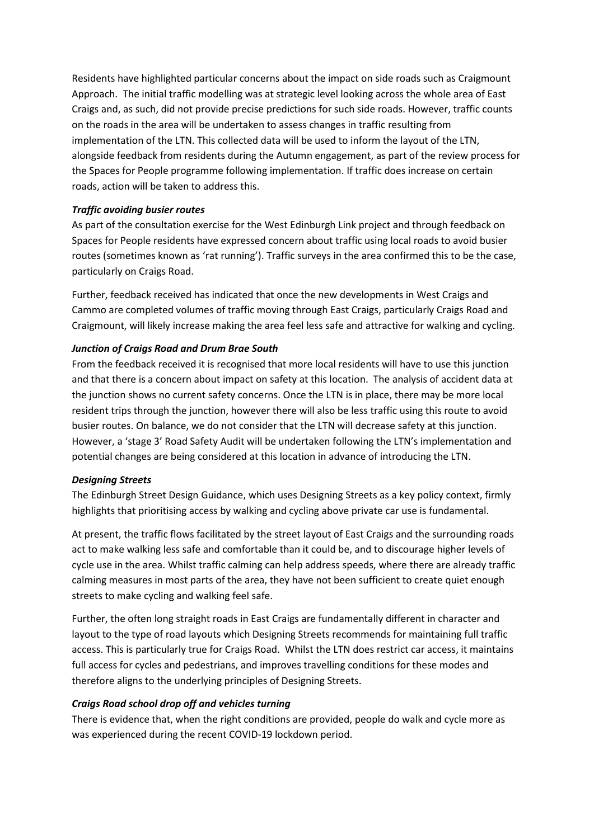Residents have highlighted particular concerns about the impact on side roads such as Craigmount Approach. The initial traffic modelling was at strategic level looking across the whole area of East Craigs and, as such, did not provide precise predictions for such side roads. However, traffic counts on the roads in the area will be undertaken to assess changes in traffic resulting from implementation of the LTN. This collected data will be used to inform the layout of the LTN, alongside feedback from residents during the Autumn engagement, as part of the review process for the Spaces for People programme following implementation. If traffic does increase on certain roads, action will be taken to address this.

#### *Traffic avoiding busier routes*

As part of the consultation exercise for the West Edinburgh Link project and through feedback on Spaces for People residents have expressed concern about traffic using local roads to avoid busier routes (sometimes known as 'rat running'). Traffic surveys in the area confirmed this to be the case, particularly on Craigs Road.

Further, feedback received has indicated that once the new developments in West Craigs and Cammo are completed volumes of traffic moving through East Craigs, particularly Craigs Road and Craigmount, will likely increase making the area feel less safe and attractive for walking and cycling.

### *Junction of Craigs Road and Drum Brae South*

From the feedback received it is recognised that more local residents will have to use this junction and that there is a concern about impact on safety at this location. The analysis of accident data at the junction shows no current safety concerns. Once the LTN is in place, there may be more local resident trips through the junction, however there will also be less traffic using this route to avoid busier routes. On balance, we do not consider that the LTN will decrease safety at this junction. However, a 'stage 3' Road Safety Audit will be undertaken following the LTN's implementation and potential changes are being considered at this location in advance of introducing the LTN.

#### *Designing Streets*

The Edinburgh Street Design Guidance, which uses Designing Streets as a key policy context, firmly highlights that prioritising access by walking and cycling above private car use is fundamental.

At present, the traffic flows facilitated by the street layout of East Craigs and the surrounding roads act to make walking less safe and comfortable than it could be, and to discourage higher levels of cycle use in the area. Whilst traffic calming can help address speeds, where there are already traffic calming measures in most parts of the area, they have not been sufficient to create quiet enough streets to make cycling and walking feel safe.

Further, the often long straight roads in East Craigs are fundamentally different in character and layout to the type of road layouts which Designing Streets recommends for maintaining full traffic access. This is particularly true for Craigs Road. Whilst the LTN does restrict car access, it maintains full access for cycles and pedestrians, and improves travelling conditions for these modes and therefore aligns to the underlying principles of Designing Streets.

#### *Craigs Road school drop off and vehicles turning*

There is evidence that, when the right conditions are provided, people do walk and cycle more as was experienced during the recent COVID-19 lockdown period.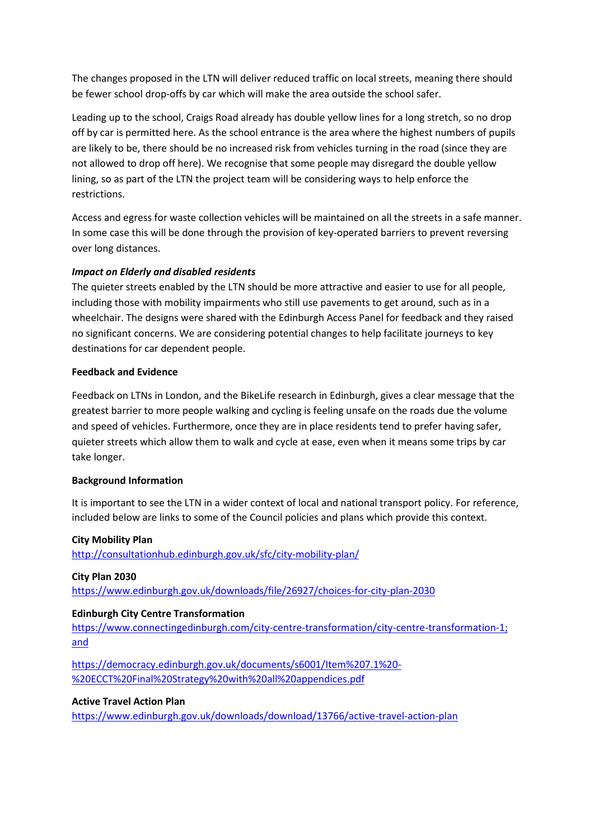The changes proposed in the LTN will deliver reduced traffic on local streets, meaning there should be fewer school drop-offs by car which will make the area outside the school safer.

Leading up to the school, Craigs Road already has double yellow lines for a long stretch, so no drop off by car is permitted here. As the school entrance is the area where the highest numbers of pupils are likely to be, there should be no increased risk from vehicles turning in the road (since they are not allowed to drop off here). We recognise that some people may disregard the double yellow lining, so as part of the LTN the project team will be considering ways to help enforce the restrictions.

Access and egress for waste collection vehicles will be maintained on all the streets in a safe manner. In some case this will be done through the provision of key-operated barriers to prevent reversing over long distances.

# *Impact on Elderly and disabled residents*

The quieter streets enabled by the LTN should be more attractive and easier to use for all people, including those with mobility impairments who still use pavements to get around, such as in a wheelchair. The designs were shared with the Edinburgh Access Panel for feedback and they raised no significant concerns. We are considering potential changes to help facilitate journeys to key destinations for car dependent people.

#### **Feedback and Evidence**

Feedback on LTNs in London, and the BikeLife research in Edinburgh, gives a clear message that the greatest barrier to more people walking and cycling is feeling unsafe on the roads due the volume and speed of vehicles. Furthermore, once they are in place residents tend to prefer having safer, quieter streets which allow them to walk and cycle at ease, even when it means some trips by car take longer.

# **Background Information**

It is important to see the LTN in a wider context of local and national transport policy. For reference, included below are links to some of the Council policies and plans which provide this context.

# **City Mobility Plan**

<http://consultationhub.edinburgh.gov.uk/sfc/city-mobility-plan/>

#### **City Plan 2030**

<https://www.edinburgh.gov.uk/downloads/file/26927/choices-for-city-plan-2030>

#### **Edinburgh City Centre Transformation**

[https://www.connectingedinburgh.com/city-centre-transformation/city-centre-transformation-1;](https://www.connectingedinburgh.com/city-centre-transformation/city-centre-transformation-1) and

[https://democracy.edinburgh.gov.uk/documents/s6001/Item%207.1%20-](https://democracy.edinburgh.gov.uk/documents/s6001/Item%207.1%20-%20ECCT%20Final%20Strategy%20with%20all%20appendices.pdf) [%20ECCT%20Final%20Strategy%20with%20all%20appendices.pdf](https://democracy.edinburgh.gov.uk/documents/s6001/Item%207.1%20-%20ECCT%20Final%20Strategy%20with%20all%20appendices.pdf)

#### **Active Travel Action Plan**

<https://www.edinburgh.gov.uk/downloads/download/13766/active-travel-action-plan>